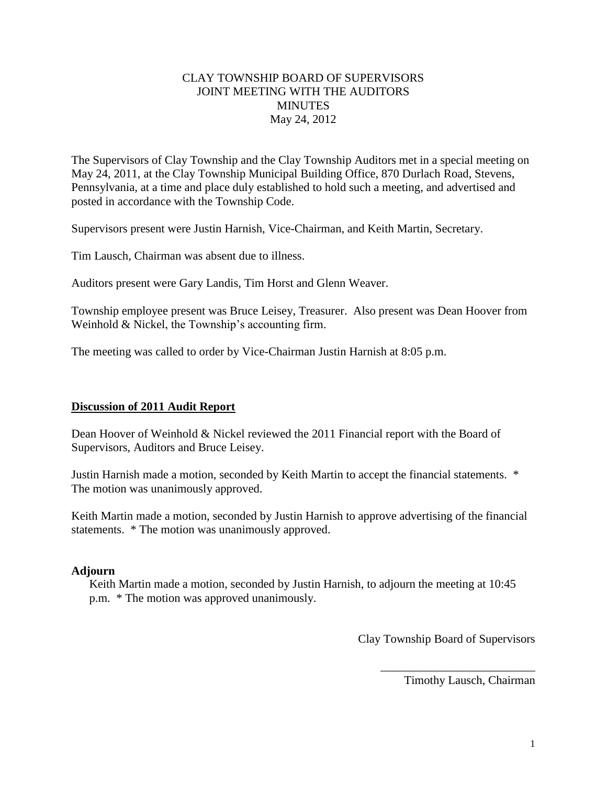## CLAY TOWNSHIP BOARD OF SUPERVISORS JOINT MEETING WITH THE AUDITORS **MINUTES** May 24, 2012

The Supervisors of Clay Township and the Clay Township Auditors met in a special meeting on May 24, 2011, at the Clay Township Municipal Building Office, 870 Durlach Road, Stevens, Pennsylvania, at a time and place duly established to hold such a meeting, and advertised and posted in accordance with the Township Code.

Supervisors present were Justin Harnish, Vice-Chairman, and Keith Martin, Secretary.

Tim Lausch, Chairman was absent due to illness.

Auditors present were Gary Landis, Tim Horst and Glenn Weaver.

Township employee present was Bruce Leisey, Treasurer. Also present was Dean Hoover from Weinhold & Nickel, the Township's accounting firm.

The meeting was called to order by Vice-Chairman Justin Harnish at 8:05 p.m.

## **Discussion of 2011 Audit Report**

Dean Hoover of Weinhold & Nickel reviewed the 2011 Financial report with the Board of Supervisors, Auditors and Bruce Leisey.

Justin Harnish made a motion, seconded by Keith Martin to accept the financial statements. \* The motion was unanimously approved.

Keith Martin made a motion, seconded by Justin Harnish to approve advertising of the financial statements. \* The motion was unanimously approved.

## **Adjourn**

Keith Martin made a motion, seconded by Justin Harnish, to adjourn the meeting at 10:45 p.m. \* The motion was approved unanimously.

Clay Township Board of Supervisors

Timothy Lausch, Chairman

\_\_\_\_\_\_\_\_\_\_\_\_\_\_\_\_\_\_\_\_\_\_\_\_\_\_